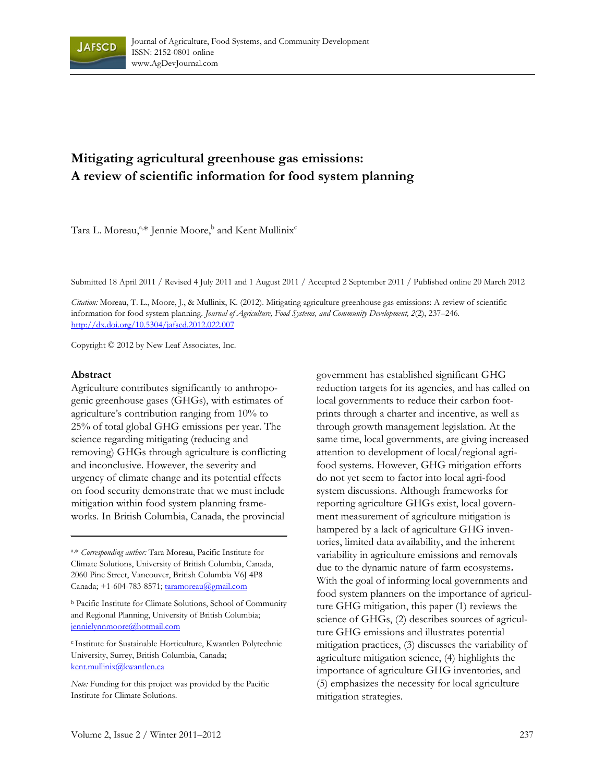

# **Mitigating agricultural greenhouse gas emissions: A review of scientific information for food system planning**

Tara L. Moreau,<sup>a,\*</sup> Jennie Moore,<sup>b</sup> and Kent Mullinix<sup>c</sup>

Submitted 18 April 2011 / Revised 4 July 2011 and 1 August 2011 / Accepted 2 September 2011 / Published online 20 March 2012

*Citation:* Moreau, T. L., Moore, J., & Mullinix, K. (2012). Mitigating agriculture greenhouse gas emissions: A review of scientific information for food system planning. *Journal of Agriculture, Food Systems, and Community Development, 2*(2), 237–246*.*  http://dx.doi.org/10.5304/jafscd.2012.022.007

Copyright © 2012 by New Leaf Associates, Inc.

#### **Abstract**

Agriculture contributes significantly to anthropogenic greenhouse gases (GHGs), with estimates of agriculture's contribution ranging from 10% to 25% of total global GHG emissions per year. The science regarding mitigating (reducing and removing) GHGs through agriculture is conflicting and inconclusive. However, the severity and urgency of climate change and its potential effects on food security demonstrate that we must include mitigation within food system planning frameworks. In British Columbia, Canada, the provincial

a,\* *Corresponding author:* Tara Moreau, Pacific Institute for Climate Solutions, University of British Columbia, Canada, 2060 Pine Street, Vancouver, British Columbia V6J 4P8 Canada; +1-604-783-8571; taramoreau@gmail.com

b Pacific Institute for Climate Solutions, School of Community and Regional Planning, University of British Columbia; jennielynnmoore@hotmail.com

<sup>c</sup> Institute for Sustainable Horticulture, Kwantlen Polytechnic University, Surrey, British Columbia, Canada; kent.mullinix@kwantlen.ca

*Note:* Funding for this project was provided by the Pacific Institute for Climate Solutions.

government has established significant GHG reduction targets for its agencies, and has called on local governments to reduce their carbon footprints through a charter and incentive, as well as through growth management legislation. At the same time, local governments, are giving increased attention to development of local/regional agrifood systems. However, GHG mitigation efforts do not yet seem to factor into local agri-food system discussions. Although frameworks for reporting agriculture GHGs exist, local government measurement of agriculture mitigation is hampered by a lack of agriculture GHG inventories, limited data availability, and the inherent variability in agriculture emissions and removals due to the dynamic nature of farm ecosystems**.**  With the goal of informing local governments and food system planners on the importance of agriculture GHG mitigation, this paper (1) reviews the science of GHGs, (2) describes sources of agriculture GHG emissions and illustrates potential mitigation practices, (3) discusses the variability of agriculture mitigation science, (4) highlights the importance of agriculture GHG inventories, and (5) emphasizes the necessity for local agriculture mitigation strategies.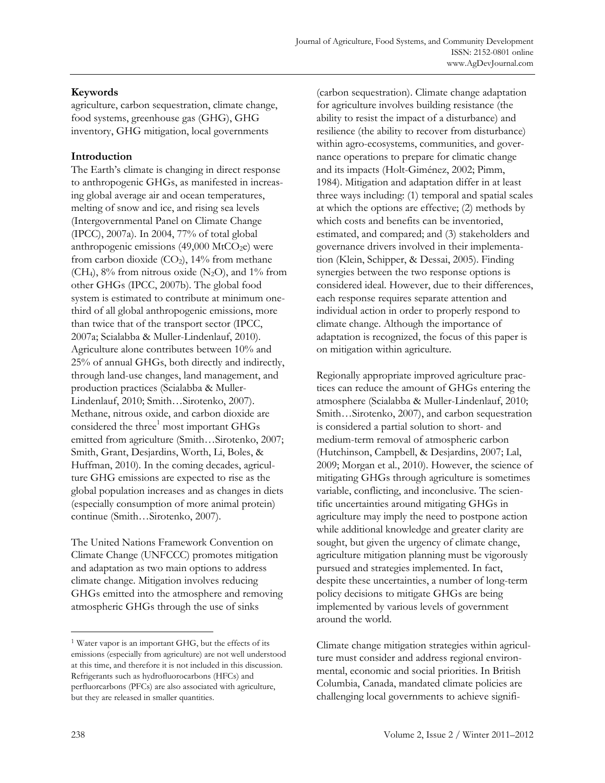# **Keywords**

agriculture, carbon sequestration, climate change, food systems, greenhouse gas (GHG), GHG inventory, GHG mitigation, local governments

# **Introduction**

The Earth's climate is changing in direct response to anthropogenic GHGs, as manifested in increasing global average air and ocean temperatures, melting of snow and ice, and rising sea levels (Intergovernmental Panel on Climate Change (IPCC), 2007a). In 2004, 77% of total global anthropogenic emissions  $(49,000 \text{ MtCO}_2e)$  were from carbon dioxide  $(CO<sub>2</sub>)$ , 14% from methane (CH<sub>4</sub>),  $8\%$  from nitrous oxide (N<sub>2</sub>O), and  $1\%$  from other GHGs (IPCC, 2007b). The global food system is estimated to contribute at minimum onethird of all global anthropogenic emissions, more than twice that of the transport sector (IPCC, 2007a; Scialabba & Muller-Lindenlauf, 2010). Agriculture alone contributes between 10% and 25% of annual GHGs, both directly and indirectly, through land-use changes, land management, and production practices (Scialabba & Muller-Lindenlauf, 2010; Smith…Sirotenko, 2007). Methane, nitrous oxide, and carbon dioxide are considered the three<sup>1</sup> most important GHGs emitted from agriculture (Smith…Sirotenko, 2007; Smith, Grant, Desjardins, Worth, Li, Boles, & Huffman, 2010). In the coming decades, agriculture GHG emissions are expected to rise as the global population increases and as changes in diets (especially consumption of more animal protein) continue (Smith…Sirotenko, 2007).

The United Nations Framework Convention on Climate Change (UNFCCC) promotes mitigation and adaptation as two main options to address climate change. Mitigation involves reducing GHGs emitted into the atmosphere and removing atmospheric GHGs through the use of sinks

(carbon sequestration). Climate change adaptation for agriculture involves building resistance (the ability to resist the impact of a disturbance) and resilience (the ability to recover from disturbance) within agro-ecosystems, communities, and governance operations to prepare for climatic change and its impacts (Holt-Giménez, 2002; Pimm, 1984). Mitigation and adaptation differ in at least three ways including: (1) temporal and spatial scales at which the options are effective; (2) methods by which costs and benefits can be inventoried, estimated, and compared; and (3) stakeholders and governance drivers involved in their implementation (Klein, Schipper, & Dessai, 2005). Finding synergies between the two response options is considered ideal. However, due to their differences, each response requires separate attention and individual action in order to properly respond to climate change. Although the importance of adaptation is recognized, the focus of this paper is on mitigation within agriculture.

Regionally appropriate improved agriculture practices can reduce the amount of GHGs entering the atmosphere (Scialabba & Muller-Lindenlauf, 2010; Smith…Sirotenko, 2007), and carbon sequestration is considered a partial solution to short- and medium-term removal of atmospheric carbon (Hutchinson, Campbell, & Desjardins, 2007; Lal, 2009; Morgan et al., 2010). However, the science of mitigating GHGs through agriculture is sometimes variable, conflicting, and inconclusive. The scientific uncertainties around mitigating GHGs in agriculture may imply the need to postpone action while additional knowledge and greater clarity are sought, but given the urgency of climate change, agriculture mitigation planning must be vigorously pursued and strategies implemented. In fact, despite these uncertainties, a number of long-term policy decisions to mitigate GHGs are being implemented by various levels of government around the world.

 $\overline{a}$ 

<sup>1</sup> Water vapor is an important GHG, but the effects of its emissions (especially from agriculture) are not well understood at this time, and therefore it is not included in this discussion. Refrigerants such as hydrofluorocarbons (HFCs) and perfluorcarbons (PFCs) are also associated with agriculture, but they are released in smaller quantities.

Climate change mitigation strategies within agriculture must consider and address regional environmental, economic and social priorities. In British Columbia, Canada, mandated climate policies are challenging local governments to achieve signifi-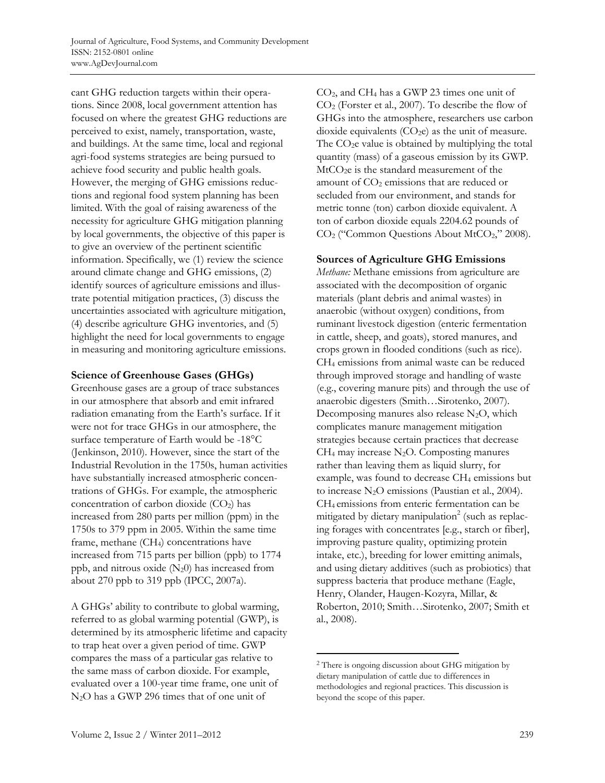cant GHG reduction targets within their operations. Since 2008, local government attention has focused on where the greatest GHG reductions are perceived to exist, namely, transportation, waste, and buildings. At the same time, local and regional agri-food systems strategies are being pursued to achieve food security and public health goals. However, the merging of GHG emissions reductions and regional food system planning has been limited. With the goal of raising awareness of the necessity for agriculture GHG mitigation planning by local governments, the objective of this paper is to give an overview of the pertinent scientific information. Specifically, we (1) review the science around climate change and GHG emissions, (2) identify sources of agriculture emissions and illustrate potential mitigation practices, (3) discuss the uncertainties associated with agriculture mitigation, (4) describe agriculture GHG inventories, and (5) highlight the need for local governments to engage in measuring and monitoring agriculture emissions.

# **Science of Greenhouse Gases (GHGs)**

Greenhouse gases are a group of trace substances in our atmosphere that absorb and emit infrared radiation emanating from the Earth's surface. If it were not for trace GHGs in our atmosphere, the surface temperature of Earth would be -18°C (Jenkinson, 2010). However, since the start of the Industrial Revolution in the 1750s, human activities have substantially increased atmospheric concentrations of GHGs. For example, the atmospheric concentration of carbon dioxide  $(CO<sub>2</sub>)$  has increased from 280 parts per million (ppm) in the 1750s to 379 ppm in 2005. Within the same time frame, methane (CH4) concentrations have increased from 715 parts per billion (ppb) to 1774 ppb, and nitrous oxide  $(N_20)$  has increased from about 270 ppb to 319 ppb (IPCC, 2007a).

A GHGs' ability to contribute to global warming, referred to as global warming potential (GWP), is determined by its atmospheric lifetime and capacity to trap heat over a given period of time. GWP compares the mass of a particular gas relative to the same mass of carbon dioxide. For example, evaluated over a 100-year time frame, one unit of N2O has a GWP 296 times that of one unit of

CO2, and CH4 has a GWP 23 times one unit of CO2 (Forster et al., 2007). To describe the flow of GHGs into the atmosphere, researchers use carbon dioxide equivalents  $(CO<sub>2</sub>e)$  as the unit of measure. The  $CO<sub>2</sub>e$  value is obtained by multiplying the total quantity (mass) of a gaseous emission by its GWP.  $MtCO<sub>2</sub>e$  is the standard measurement of the amount of  $CO<sub>2</sub>$  emissions that are reduced or secluded from our environment, and stands for metric tonne (ton) carbon dioxide equivalent. A ton of carbon dioxide equals 2204.62 pounds of  $CO<sub>2</sub>$  ("Common Questions About MtCO<sub>2</sub>," 2008).

#### **Sources of Agriculture GHG Emissions**

*Methane:* Methane emissions from agriculture are associated with the decomposition of organic materials (plant debris and animal wastes) in anaerobic (without oxygen) conditions, from ruminant livestock digestion (enteric fermentation in cattle, sheep, and goats), stored manures, and crops grown in flooded conditions (such as rice). CH4 emissions from animal waste can be reduced through improved storage and handling of waste (e.g., covering manure pits) and through the use of anaerobic digesters (Smith…Sirotenko, 2007). Decomposing manures also release  $N_2O$ , which complicates manure management mitigation strategies because certain practices that decrease  $CH<sub>4</sub>$  may increase N<sub>2</sub>O. Composting manures rather than leaving them as liquid slurry, for example, was found to decrease CH<sub>4</sub> emissions but to increase  $N_2O$  emissions (Paustian et al., 2004). CH4 emissions from enteric fermentation can be mitigated by dietary manipulation<sup>2</sup> (such as replacing forages with concentrates [e.g., starch or fiber], improving pasture quality, optimizing protein intake, etc.), breeding for lower emitting animals, and using dietary additives (such as probiotics) that suppress bacteria that produce methane (Eagle, Henry, Olander, Haugen-Kozyra, Millar, & Roberton, 2010; Smith…Sirotenko, 2007; Smith et al., 2008).

 $\overline{a}$ 

<sup>2</sup> There is ongoing discussion about GHG mitigation by dietary manipulation of cattle due to differences in methodologies and regional practices. This discussion is beyond the scope of this paper.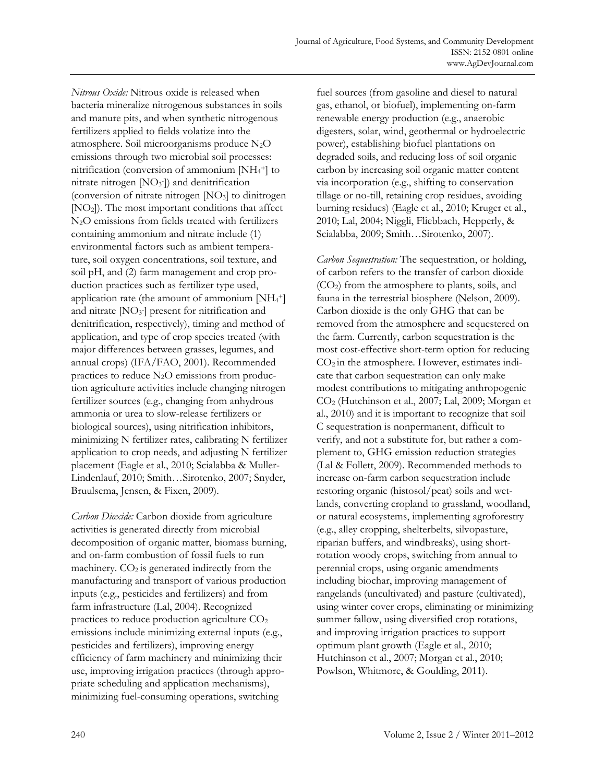*Nitrous Oxide:* Nitrous oxide is released when bacteria mineralize nitrogenous substances in soils and manure pits, and when synthetic nitrogenous fertilizers applied to fields volatize into the atmosphere. Soil microorganisms produce N2O emissions through two microbial soil processes: nitrification (conversion of ammonium [NH4 +] to nitrate nitrogen  $[NO<sub>3</sub>])$  and denitrification (conversion of nitrate nitrogen [NO3] to dinitrogen [NO2]). The most important conditions that affect N2O emissions from fields treated with fertilizers containing ammonium and nitrate include (1) environmental factors such as ambient temperature, soil oxygen concentrations, soil texture, and soil pH, and (2) farm management and crop production practices such as fertilizer type used, application rate (the amount of ammonium  $[NH_4^+]$ and nitrate  $[NO<sub>3</sub>]$  present for nitrification and denitrification, respectively), timing and method of application, and type of crop species treated (with major differences between grasses, legumes, and annual crops) (IFA/FAO, 2001). Recommended practices to reduce  $N_2O$  emissions from production agriculture activities include changing nitrogen fertilizer sources (e.g., changing from anhydrous ammonia or urea to slow-release fertilizers or biological sources), using nitrification inhibitors, minimizing N fertilizer rates, calibrating N fertilizer application to crop needs, and adjusting N fertilizer placement (Eagle et al., 2010; Scialabba & Muller-Lindenlauf, 2010; Smith…Sirotenko, 2007; Snyder, Bruulsema, Jensen, & Fixen, 2009).

*Carbon Dioxide:* Carbon dioxide from agriculture activities is generated directly from microbial decomposition of organic matter, biomass burning, and on-farm combustion of fossil fuels to run machinery.  $CO<sub>2</sub>$  is generated indirectly from the manufacturing and transport of various production inputs (e.g., pesticides and fertilizers) and from farm infrastructure (Lal, 2004). Recognized practices to reduce production agriculture CO2 emissions include minimizing external inputs (e.g., pesticides and fertilizers), improving energy efficiency of farm machinery and minimizing their use, improving irrigation practices (through appropriate scheduling and application mechanisms), minimizing fuel-consuming operations, switching

fuel sources (from gasoline and diesel to natural gas, ethanol, or biofuel), implementing on-farm renewable energy production (e.g., anaerobic digesters, solar, wind, geothermal or hydroelectric power), establishing biofuel plantations on degraded soils, and reducing loss of soil organic carbon by increasing soil organic matter content via incorporation (e.g., shifting to conservation tillage or no-till, retaining crop residues, avoiding burning residues) (Eagle et al., 2010; Kruger et al., 2010; Lal, 2004; Niggli, Fliebbach, Hepperly, & Scialabba, 2009; Smith…Sirotenko, 2007).

*Carbon Sequestration:* The sequestration, or holding, of carbon refers to the transfer of carbon dioxide (CO2) from the atmosphere to plants, soils, and fauna in the terrestrial biosphere (Nelson, 2009). Carbon dioxide is the only GHG that can be removed from the atmosphere and sequestered on the farm. Currently, carbon sequestration is the most cost-effective short-term option for reducing  $CO<sub>2</sub>$  in the atmosphere. However, estimates indicate that carbon sequestration can only make modest contributions to mitigating anthropogenic CO2 (Hutchinson et al., 2007; Lal, 2009; Morgan et al., 2010) and it is important to recognize that soil C sequestration is nonpermanent, difficult to verify, and not a substitute for, but rather a complement to, GHG emission reduction strategies (Lal & Follett, 2009). Recommended methods to increase on-farm carbon sequestration include restoring organic (histosol/peat) soils and wetlands, converting cropland to grassland, woodland, or natural ecosystems, implementing agroforestry (e.g., alley cropping, shelterbelts, silvopasture, riparian buffers, and windbreaks), using shortrotation woody crops, switching from annual to perennial crops, using organic amendments including biochar, improving management of rangelands (uncultivated) and pasture (cultivated), using winter cover crops, eliminating or minimizing summer fallow, using diversified crop rotations, and improving irrigation practices to support optimum plant growth (Eagle et al., 2010; Hutchinson et al., 2007; Morgan et al., 2010; Powlson, Whitmore, & Goulding, 2011).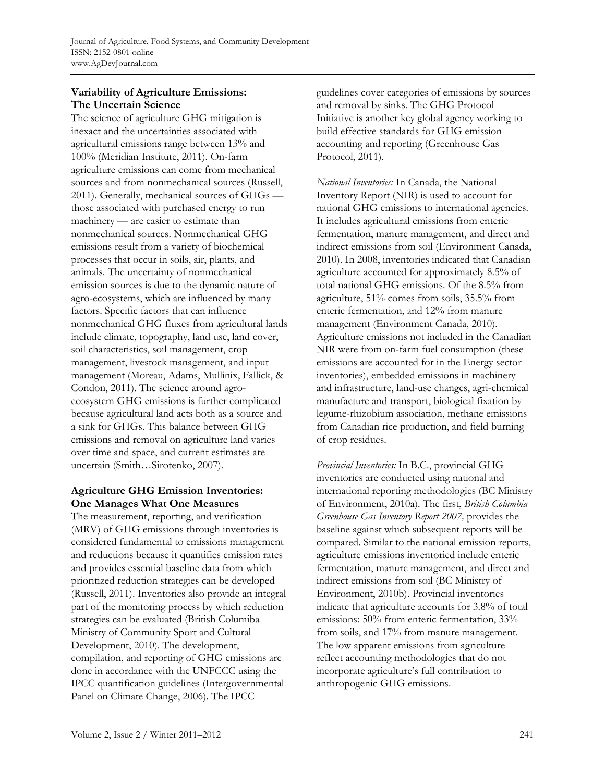# **Variability of Agriculture Emissions: The Uncertain Science**

The science of agriculture GHG mitigation is inexact and the uncertainties associated with agricultural emissions range between 13% and 100% (Meridian Institute, 2011). On-farm agriculture emissions can come from mechanical sources and from nonmechanical sources (Russell, 2011). Generally, mechanical sources of GHGs those associated with purchased energy to run machinery — are easier to estimate than nonmechanical sources. Nonmechanical GHG emissions result from a variety of biochemical processes that occur in soils, air, plants, and animals. The uncertainty of nonmechanical emission sources is due to the dynamic nature of agro-ecosystems, which are influenced by many factors. Specific factors that can influence nonmechanical GHG fluxes from agricultural lands include climate, topography, land use, land cover, soil characteristics, soil management, crop management, livestock management, and input management (Moreau, Adams, Mullinix, Fallick, & Condon, 2011). The science around agroecosystem GHG emissions is further complicated because agricultural land acts both as a source and a sink for GHGs. This balance between GHG emissions and removal on agriculture land varies over time and space, and current estimates are uncertain (Smith…Sirotenko, 2007).

# **Agriculture GHG Emission Inventories: One Manages What One Measures**

The measurement, reporting, and verification (MRV) of GHG emissions through inventories is considered fundamental to emissions management and reductions because it quantifies emission rates and provides essential baseline data from which prioritized reduction strategies can be developed (Russell, 2011). Inventories also provide an integral part of the monitoring process by which reduction strategies can be evaluated (British Columiba Ministry of Community Sport and Cultural Development, 2010). The development, compilation, and reporting of GHG emissions are done in accordance with the UNFCCC using the IPCC quantification guidelines (Intergovernmental Panel on Climate Change, 2006). The IPCC

guidelines cover categories of emissions by sources and removal by sinks. The GHG Protocol Initiative is another key global agency working to build effective standards for GHG emission accounting and reporting (Greenhouse Gas Protocol, 2011).

*National Inventories:* In Canada, the National Inventory Report (NIR) is used to account for national GHG emissions to international agencies. It includes agricultural emissions from enteric fermentation, manure management, and direct and indirect emissions from soil (Environment Canada, 2010). In 2008, inventories indicated that Canadian agriculture accounted for approximately 8.5% of total national GHG emissions. Of the 8.5% from agriculture, 51% comes from soils, 35.5% from enteric fermentation, and 12% from manure management (Environment Canada, 2010). Agriculture emissions not included in the Canadian NIR were from on-farm fuel consumption (these emissions are accounted for in the Energy sector inventories), embedded emissions in machinery and infrastructure, land-use changes, agri-chemical manufacture and transport, biological fixation by legume-rhizobium association, methane emissions from Canadian rice production, and field burning of crop residues.

*Provincial Inventories:* In B.C., provincial GHG inventories are conducted using national and international reporting methodologies (BC Ministry of Environment, 2010a). The first, *British Columbia Greenhouse Gas Inventory Report 2007,* provides the baseline against which subsequent reports will be compared. Similar to the national emission reports, agriculture emissions inventoried include enteric fermentation, manure management, and direct and indirect emissions from soil (BC Ministry of Environment, 2010b). Provincial inventories indicate that agriculture accounts for 3.8% of total emissions: 50% from enteric fermentation, 33% from soils, and 17% from manure management. The low apparent emissions from agriculture reflect accounting methodologies that do not incorporate agriculture's full contribution to anthropogenic GHG emissions.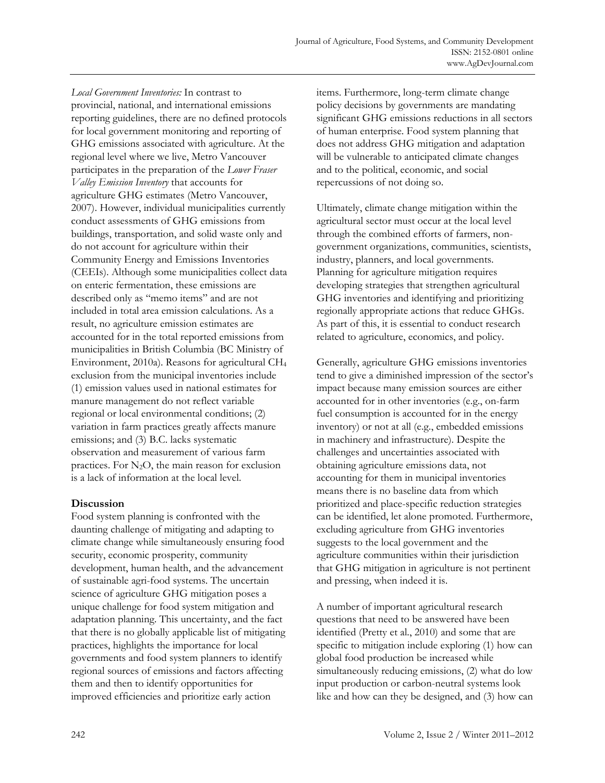*Local Government Inventories:* In contrast to provincial, national, and international emissions reporting guidelines, there are no defined protocols for local government monitoring and reporting of GHG emissions associated with agriculture. At the regional level where we live, Metro Vancouver participates in the preparation of the *Lower Fraser Valley Emission Inventory* that accounts for agriculture GHG estimates (Metro Vancouver, 2007). However, individual municipalities currently conduct assessments of GHG emissions from buildings, transportation, and solid waste only and do not account for agriculture within their Community Energy and Emissions Inventories (CEEIs). Although some municipalities collect data on enteric fermentation, these emissions are described only as "memo items" and are not included in total area emission calculations. As a result, no agriculture emission estimates are accounted for in the total reported emissions from municipalities in British Columbia (BC Ministry of Environment, 2010a). Reasons for agricultural CH4 exclusion from the municipal inventories include (1) emission values used in national estimates for manure management do not reflect variable regional or local environmental conditions; (2) variation in farm practices greatly affects manure emissions; and (3) B.C. lacks systematic observation and measurement of various farm practices. For  $N_2O$ , the main reason for exclusion is a lack of information at the local level.

# **Discussion**

Food system planning is confronted with the daunting challenge of mitigating and adapting to climate change while simultaneously ensuring food security, economic prosperity, community development, human health, and the advancement of sustainable agri-food systems. The uncertain science of agriculture GHG mitigation poses a unique challenge for food system mitigation and adaptation planning. This uncertainty, and the fact that there is no globally applicable list of mitigating practices, highlights the importance for local governments and food system planners to identify regional sources of emissions and factors affecting them and then to identify opportunities for improved efficiencies and prioritize early action

items. Furthermore, long-term climate change policy decisions by governments are mandating significant GHG emissions reductions in all sectors of human enterprise. Food system planning that does not address GHG mitigation and adaptation will be vulnerable to anticipated climate changes and to the political, economic, and social repercussions of not doing so.

Ultimately, climate change mitigation within the agricultural sector must occur at the local level through the combined efforts of farmers, nongovernment organizations, communities, scientists, industry, planners, and local governments. Planning for agriculture mitigation requires developing strategies that strengthen agricultural GHG inventories and identifying and prioritizing regionally appropriate actions that reduce GHGs. As part of this, it is essential to conduct research related to agriculture, economics, and policy.

Generally, agriculture GHG emissions inventories tend to give a diminished impression of the sector's impact because many emission sources are either accounted for in other inventories (e.g., on-farm fuel consumption is accounted for in the energy inventory) or not at all (e.g., embedded emissions in machinery and infrastructure). Despite the challenges and uncertainties associated with obtaining agriculture emissions data, not accounting for them in municipal inventories means there is no baseline data from which prioritized and place-specific reduction strategies can be identified, let alone promoted. Furthermore, excluding agriculture from GHG inventories suggests to the local government and the agriculture communities within their jurisdiction that GHG mitigation in agriculture is not pertinent and pressing, when indeed it is.

A number of important agricultural research questions that need to be answered have been identified (Pretty et al., 2010) and some that are specific to mitigation include exploring (1) how can global food production be increased while simultaneously reducing emissions, (2) what do low input production or carbon-neutral systems look like and how can they be designed, and (3) how can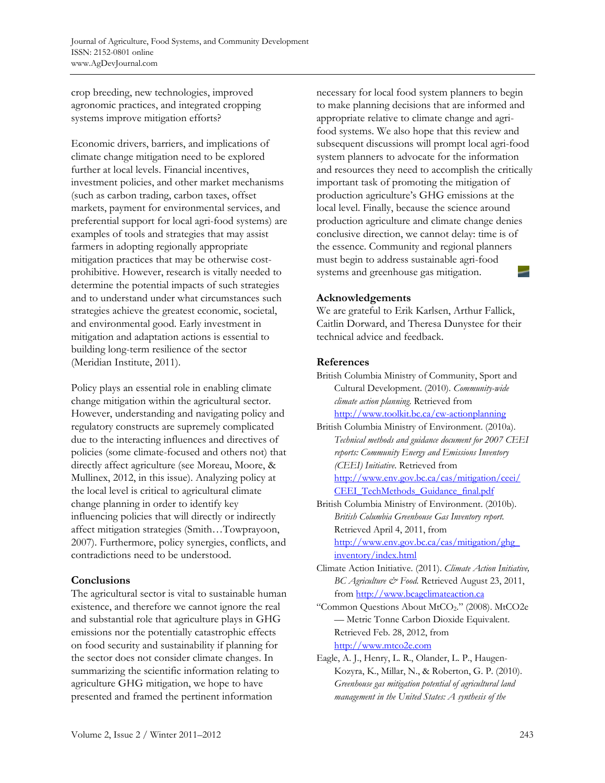crop breeding, new technologies, improved agronomic practices, and integrated cropping systems improve mitigation efforts?

Economic drivers, barriers, and implications of climate change mitigation need to be explored further at local levels. Financial incentives, investment policies, and other market mechanisms (such as carbon trading, carbon taxes, offset markets, payment for environmental services, and preferential support for local agri-food systems) are examples of tools and strategies that may assist farmers in adopting regionally appropriate mitigation practices that may be otherwise costprohibitive. However, research is vitally needed to determine the potential impacts of such strategies and to understand under what circumstances such strategies achieve the greatest economic, societal, and environmental good. Early investment in mitigation and adaptation actions is essential to building long-term resilience of the sector (Meridian Institute, 2011).

Policy plays an essential role in enabling climate change mitigation within the agricultural sector. However, understanding and navigating policy and regulatory constructs are supremely complicated due to the interacting influences and directives of policies (some climate-focused and others not) that directly affect agriculture (see Moreau, Moore, & Mullinex, 2012, in this issue). Analyzing policy at the local level is critical to agricultural climate change planning in order to identify key influencing policies that will directly or indirectly affect mitigation strategies (Smith…Towprayoon, 2007). Furthermore, policy synergies, conflicts, and contradictions need to be understood.

# **Conclusions**

The agricultural sector is vital to sustainable human existence, and therefore we cannot ignore the real and substantial role that agriculture plays in GHG emissions nor the potentially catastrophic effects on food security and sustainability if planning for the sector does not consider climate changes. In summarizing the scientific information relating to agriculture GHG mitigation, we hope to have presented and framed the pertinent information

necessary for local food system planners to begin to make planning decisions that are informed and appropriate relative to climate change and agrifood systems. We also hope that this review and subsequent discussions will prompt local agri-food system planners to advocate for the information and resources they need to accomplish the critically important task of promoting the mitigation of production agriculture's GHG emissions at the local level. Finally, because the science around production agriculture and climate change denies conclusive direction, we cannot delay: time is of the essence. Community and regional planners must begin to address sustainable agri-food systems and greenhouse gas mitigation.

#### **Acknowledgements**

We are grateful to Erik Karlsen, Arthur Fallick, Caitlin Dorward, and Theresa Dunystee for their technical advice and feedback.

# **References**

| British Columbia Ministry of Community, Sport and |
|---------------------------------------------------|
| Cultural Development. (2010). Community-wide      |
| climate action planning. Retrieved from           |
| http://www.toolkit.bc.ca/cw-actionplanning        |

British Columbia Ministry of Environment. (2010a). *Technical methods and guidance document for 2007 CEEI reports: Community Energy and Emissions Inventory (CEEI) Initiative*. Retrieved from [http://www.env.gov.bc.ca/cas/mitigation/ceei/](http://www.env.gov.bc.ca/cas/mitigation/ceei/CEEI_TechMethods_Guidance_final.pdf) CEEI TechMethods Guidance final.pdf

British Columbia Ministry of Environment. (2010b). *British Columbia Greenhouse Gas Inventory report.* Retrieved April 4, 2011, from [http://www.env.gov.bc.ca/cas/mitigation/ghg\\_](http://www.env.gov.bc.ca/cas/mitigation/ghg_inventory/index.html)

inventory/index.html

- Climate Action Initiative. (2011). *Climate Action Initiative, BC Agriculture & Food.* Retrieved August 23, 2011, from http://www.bcagclimateaction.ca
- "Common Questions About MtCO2." (2008). MtCO2e — Metric Tonne Carbon Dioxide Equivalent. Retrieved Feb. 28, 2012, from http://www.mtco2e.com
- Eagle, A. J., Henry, L. R., Olander, L. P., Haugen-Kozyra, K., Millar, N., & Roberton, G. P. (2010). *Greenhouse gas mitigation potential of agricultural land management in the United States: A synthesis of the*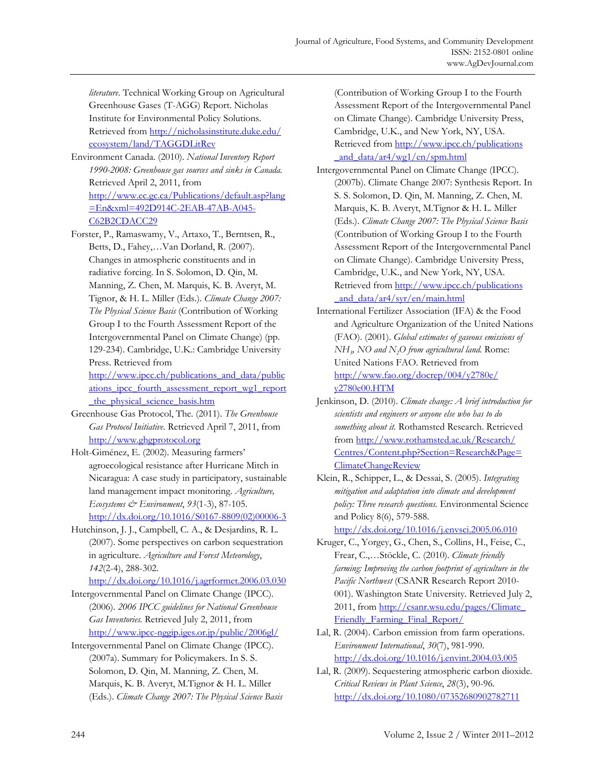*literature*. Technical Working Group on Agricultural Greenhouse Gases (T-AGG) Report. Nicholas Institute for Environmental Policy Solutions. [Retrieved from http://nicholasinstitute.duke.edu/](http://nicholasinstitute.duke.edu/ecosystem/land/TAGGDLitRev)  ecosystem/land/TAGGDLitRev

Environment Canada. (2010). *National Inventory Report 1990-2008: Greenhouse gas sources and sinks in Canada.* Retrieved April 2, 2011, from [http://www.ec.gc.ca/Publications/default.asp?lang](http://www.ec.gc.ca/Publications/default.asp?lang=En&xml=492D914C-2EAB-47AB-A045-C62B2CDACC29) =En&xml=492D914C-2EAB-47AB-A045- C62B2CDACC29

Forster, P., Ramaswamy, V., Artaxo, T., Berntsen, R., Betts, D., Fahey,…Van Dorland, R. (2007). Changes in atmospheric constituents and in radiative forcing. In S. Solomon, D. Qin, M. Manning, Z. Chen, M. Marquis, K. B. Averyt, M. Tignor, & H. L. Miller (Eds.). *Climate Change 2007: The Physical Science Basis* (Contribution of Working Group I to the Fourth Assessment Report of the Intergovernmental Panel on Climate Change) (pp. 129-234). Cambridge, U.K.: Cambridge University Press. Retrieved from http://www.ipcc.ch/publications\_and\_data/public

ations ipcc fourth assessment report wg1 report \_the\_physical\_science\_basis.htm

- Greenhouse Gas Protocol, The. (2011). *The Greenhouse Gas Protocol Initiative.* Retrieved April 7, 2011, from http://www.ghgprotocol.org
- Holt-Giménez, E. (2002). Measuring farmers' agroecological resistance after Hurricane Mitch in Nicaragua: A case study in participatory, sustainable land management impact monitoring. *Agriculture, Ecosystems & Environment*, *93*(1-3), 87-105. [http://dx.doi.org/10.1016/S0167-8809\(02\)00006-3](http://dx.doi.org/10.1016/S0167-8809(02)00006-3)

Hutchinson, J. J., Campbell, C. A., & Desjardins, R. L. (2007). Some perspectives on carbon sequestration in agriculture. *Agriculture and Forest Meteorology*, *142*(2-4), 288-302.

http://dx.doi.org/10.1016/j.agrformet.2006.03.030

- Intergovernmental Panel on Climate Change (IPCC). (2006). *2006 IPCC guidelines for National Greenhouse Gas Inventories.* Retrieved July 2, 2011, from http://www.ipcc-nggip.iges.or.jp/public/2006gl/
- Intergovernmental Panel on Climate Change (IPCC). (2007a). Summary for Policymakers. In S. S. Solomon, D. Qin, M. Manning, Z. Chen, M. Marquis, K. B. Averyt, M.Tignor & H. L. Miller (Eds.). *Climate Change 2007: The Physical Science Basis*

(Contribution of Working Group I to the Fourth Assessment Report of the Intergovernmental Panel on Climate Change). Cambridge University Press, Cambridge, U.K., and New York, NY, USA. [Retrieved from http://www.ipcc.ch/publications](http://www.ipcc.ch/publications_and_data/ar4/wg1/en/spm.html) and data/ar4/wg1/en/spm.html

Intergovernmental Panel on Climate Change (IPCC). (2007b). Climate Change 2007: Synthesis Report. In S. S. Solomon, D. Qin, M. Manning, Z. Chen, M. Marquis, K. B. Averyt, M.Tignor & H. L. Miller (Eds.). *Climate Change 2007: The Physical Science Basis* (Contribution of Working Group I to the Fourth Assessment Report of the Intergovernmental Panel on Climate Change). Cambridge University Press, Cambridge, U.K., and New York, NY, USA. [Retrieved from http://www.ipcc.ch/publications](http://www.ipcc.ch/publications_and_data/ar4/syr/en/main.html) and data/ar4/syr/en/main.html

- International Fertilizer Association (IFA) & the Food and Agriculture Organization of the United Nations (FAO). (2001). *Global estimates of gaseous emissions of NH3, NO and N2O from agricultural land.* Rome: United Nations FAO. Retrieved from [http://www.fao.org/docrep/004/y2780e/](http://www.fao.org/docrep/004/y2780e/y2780e00.HTM) y2780e00.HTM
- Jenkinson, D. (2010). *Climate change: A brief introduction for scientists and engineers or anyone else who has to do something about it.* Rothamsted Research. Retrieved from http://www.rothamsted.ac.uk/Research/ [Centres/Content.php?Section=Research&Page=](http://www.rothamsted.ac.uk/Research/Centres/Content.php?Section=Research&Page=ClimateChangeReview) ClimateChangeReview
- Klein, R., Schipper, L., & Dessai, S. (2005). *Integrating mitigation and adaptation into climate and development policy: Three research questions.* Environmental Science and Policy 8(6), 579-588.

http://dx.doi.org/10.1016/j.envsci.2005.06.010

- Kruger, C., Yorgey, G., Chen, S., Collins, H., Feise, C., Frear, C.,…Stöckle, C. (2010). *Climate friendly farming: Improving the carbon footprint of agriculture in the Pacific Northwest* (CSANR Research Report 2010- 001). Washington State University. Retrieved July 2, [2011, from http://csanr.wsu.edu/pages/Climate\\_](http://csanr.wsu.edu/pages/Climate_Friendly_Farming_Final_Report/) Friendly\_Farming\_Final\_Report/
- Lal, R. (2004). Carbon emission from farm operations. *Environment International*, *30*(7), 981-990. http://dx.doi.org/10.1016/j.envint.2004.03.005
- Lal, R. (2009). Sequestering atmospheric carbon dioxide. *Critical Reviews in Plant Science*, *28*(3), 90-96. http://dx.doi.org/10.1080/07352680902782711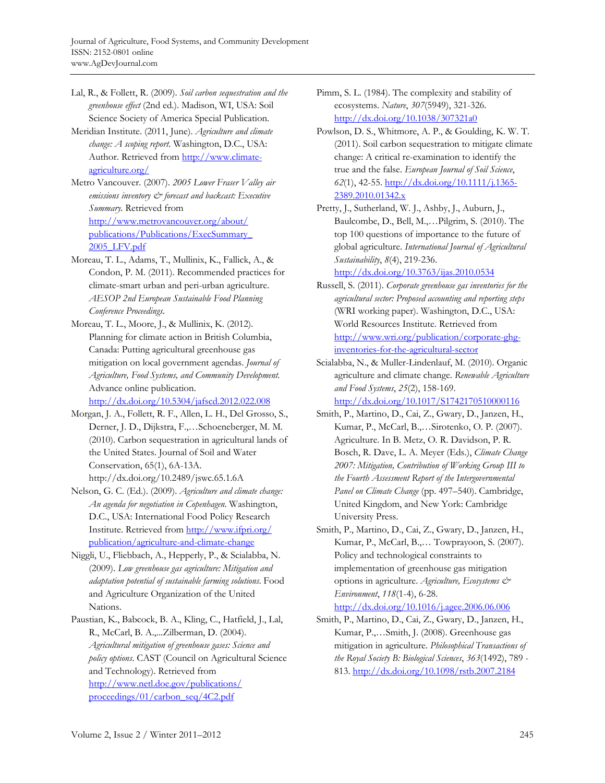- Lal, R., & Follett, R. (2009). *Soil carbon sequestration and the greenhouse effect* (2nd ed.). Madison, WI, USA: Soil Science Society of America Special Publication.
- Meridian Institute. (2011, June). *Agriculture and climate change: A scoping report*. Washington, D.C., USA: Author. Retrieved from http://www.climateagriculture.org/
- Metro Vancouver. (2007). *2005 Lower Fraser Valley air emissions inventory & forecast and backcast: Executive Summary.* Retrieved from http://www.metrovancouver.org/about/ [publications/Publications/ExecSummary\\_](http://www.metrovancouver.org/about/publications/Publications/ExecSummary_2005_LFV.pdf)  2005\_LFV.pdf
- Moreau, T. L., Adams, T., Mullinix, K., Fallick, A., & Condon, P. M. (2011). Recommended practices for climate-smart urban and peri-urban agriculture. *AESOP 2nd European Sustainable Food Planning Conference Proceedings*.
- Moreau, T. L., Moore, J., & Mullinix, K. (2012). Planning for climate action in British Columbia, Canada: Putting agricultural greenhouse gas mitigation on local government agendas. *Journal of Agriculture, Food Systems, and Community Development.* Advance online publication.

http://dx.doi.org/10.5304/jafscd.2012.022.008

- Morgan, J. A., Follett, R. F., Allen, L. H., Del Grosso, S., Derner, J. D., Dijkstra, F.,…Schoeneberger, M. M. (2010). Carbon sequestration in agricultural lands of the United States. Journal of Soil and Water Conservation, 65(1), 6A-13A. http://dx.doi.org/10.2489/jswc.65.1.6A
- Nelson, G. C. (Ed.). (2009). *Agriculture and climate change: An agenda for negotiation in Copenhagen*. Washington, D.C., USA: International Food Policy Research [Institute. Retrieved from http://www.ifpri.org/](http://www.ifpri.org/publication/agriculture-and-climate-change) publication/agriculture-and-climate-change
- Niggli, U., Fliebbach, A., Hepperly, P., & Scialabba, N. (2009). *Low greenhouse gas agriculture: Mitigation and adaptation potential of sustainable farming solutions*. Food and Agriculture Organization of the United Nations.
- Paustian, K., Babcock, B. A., Kling, C., Hatfield, J., Lal, R., McCarl, B. A.,...Zilberman, D. (2004). *Agricultural mitigation of greenhouse gases: Science and policy options*. CAST (Council on Agricultural Science and Technology). Retrieved from [http://www.netl.doe.gov/publications/](http://www.netl.doe.gov/publications/proceedings/01/carbon_seq/4C2.pdf)  proceedings/01/carbon\_seq/4C2.pdf
- Pimm, S. L. (1984). The complexity and stability of ecosystems. *Nature*, *307*(5949), 321-326. http://dx.doi.org/10.1038/307321a0
- Powlson, D. S., Whitmore, A. P., & Goulding, K. W. T. (2011). Soil carbon sequestration to mitigate climate change: A critical re-examination to identify the true and the false. *European Journal of Soil Science*, *62*(1), 42-55. http://dx.doi.org/10.1111/j.1365- 2389.2010.01342.x
- Pretty, J., Sutherland, W. J., Ashby, J., Auburn, J., Baulcombe, D., Bell, M.,…Pilgrim, S. (2010). The top 100 questions of importance to the future of global agriculture. *International Journal of Agricultural Sustainability*, *8*(4), 219-236.

http://dx.doi.org/10.3763/ijas.2010.0534

- Russell, S. (2011). *Corporate greenhouse gas inventories for the agricultural sector: Proposed accounting and reporting steps* (WRI working paper). Washington, D.C., USA: World Resources Institute. Retrieved from http://www.wri.org/publication/corporate-ghginventories-for-the-agricultural-sector
- Scialabba, N., & Muller-Lindenlauf, M. (2010). Organic agriculture and climate change. *Renewable Agriculture and Food Systems*, *25*(2), 158-169. http://dx.doi.org/10.1017/S1742170510000116
- Smith, P., Martino, D., Cai, Z., Gwary, D., Janzen, H., Kumar, P., McCarl, B.,…Sirotenko, O. P. (2007). Agriculture. In B. Metz, O. R. Davidson, P. R. Bosch, R. Dave, L. A. Meyer (Eds.), *Climate Change 2007: Mitigation, Contribution of Working Group III to the Fourth Assessment Report of the Intergovernmental Panel on Climate Change* (pp. 497–540). Cambridge, United Kingdom, and New York: Cambridge University Press.
- Smith, P., Martino, D., Cai, Z., Gwary, D., Janzen, H., Kumar, P., McCarl, B.,… Towprayoon, S. (2007). Policy and technological constraints to implementation of greenhouse gas mitigation options in agriculture. *Agriculture, Ecosystems & Environment*, *118*(1-4), 6-28. http://dx.doi.org/10.1016/j.agee.2006.06.006
- Smith, P., Martino, D., Cai, Z., Gwary, D., Janzen, H., Kumar, P.,…Smith, J. (2008). Greenhouse gas mitigation in agriculture. *Philosophical Transactions of the Royal Society B: Biological Sciences*, *363*(1492), 789 - 813. http://dx.doi.org/10.1098/rstb.2007.2184